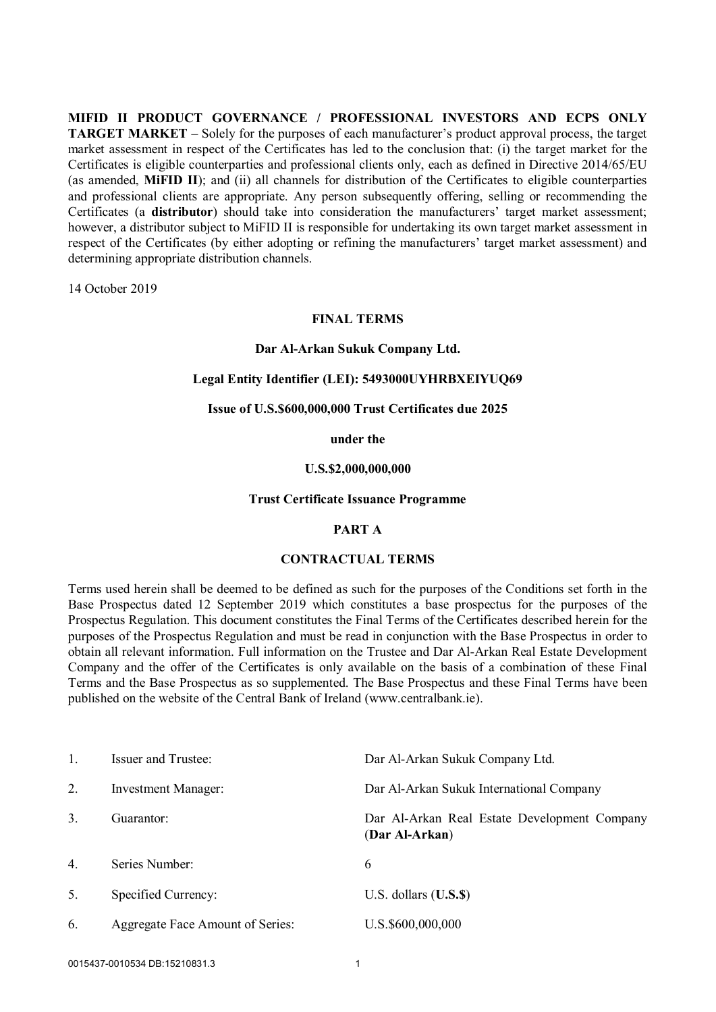**MIFID II PRODUCT GOVERNANCE / PROFESSIONAL INVESTORS AND ECPS ONLY TARGET MARKET** – Solely for the purposes of each manufacturer's product approval process, the target market assessment in respect of the Certificates has led to the conclusion that: (i) the target market for the Certificates is eligible counterparties and professional clients only, each as defined in Directive 2014/65/EU (as amended, **MiFID II**); and (ii) all channels for distribution of the Certificates to eligible counterparties and professional clients are appropriate. Any person subsequently offering, selling or recommending the Certificates (a **distributor**) should take into consideration the manufacturers' target market assessment; however, a distributor subject to MiFID II is responsible for undertaking its own target market assessment in respect of the Certificates (by either adopting or refining the manufacturers' target market assessment) and determining appropriate distribution channels.

14 October 2019

# **FINAL TERMS**

### **Dar Al-Arkan Sukuk Company Ltd.**

### **Legal Entity Identifier (LEI): 5493000UYHRBXEIYUQ69**

### **Issue of U.S.\$600,000,000 Trust Certificates due 2025**

### **under the**

## **U.S.\$2,000,000,000**

#### **Trust Certificate Issuance Programme**

### **PART A**

### **CONTRACTUAL TERMS**

Terms used herein shall be deemed to be defined as such for the purposes of the Conditions set forth in the Base Prospectus dated 12 September 2019 which constitutes a base prospectus for the purposes of the Prospectus Regulation. This document constitutes the Final Terms of the Certificates described herein for the purposes of the Prospectus Regulation and must be read in conjunction with the Base Prospectus in order to obtain all relevant information. Full information on the Trustee and Dar Al-Arkan Real Estate Development Company and the offer of the Certificates is only available on the basis of a combination of these Final Terms and the Base Prospectus as so supplemented. The Base Prospectus and these Final Terms have been published on the website of the Central Bank of Ireland (www.centralbank.ie).

| $\mathbf{1}$ .   | <b>Issuer and Trustee:</b>       | Dar Al-Arkan Sukuk Company Ltd.                                |
|------------------|----------------------------------|----------------------------------------------------------------|
| 2.               | <b>Investment Manager:</b>       | Dar Al-Arkan Sukuk International Company                       |
| 3.               | Guarantor:                       | Dar Al-Arkan Real Estate Development Company<br>(Dar Al-Arkan) |
| $\overline{4}$ . | Series Number:                   | 6                                                              |
| 5.               | Specified Currency:              | $U.S.$ dollars $(U.S.S.)$                                      |
| 6.               | Aggregate Face Amount of Series: | U.S.\$600,000,000                                              |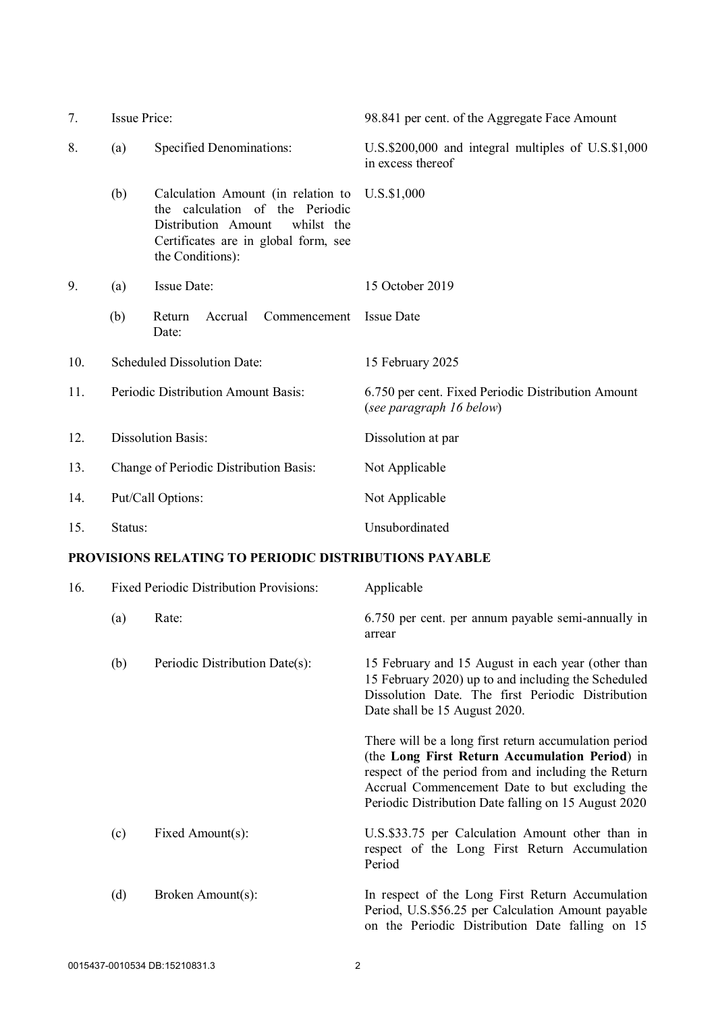| 7.  | <b>Issue Price:</b>                    |                                                                                                                                                                        | 98.841 per cent. of the Aggregate Face Amount                                  |
|-----|----------------------------------------|------------------------------------------------------------------------------------------------------------------------------------------------------------------------|--------------------------------------------------------------------------------|
| 8.  | <b>Specified Denominations:</b><br>(a) |                                                                                                                                                                        | U.S.\$200,000 and integral multiples of U.S.\$1,000<br>in excess thereof       |
|     | (b)                                    | Calculation Amount (in relation to<br>the calculation of the Periodic<br>Distribution Amount<br>whilst the<br>Certificates are in global form, see<br>the Conditions): | U.S.\$1,000                                                                    |
| 9.  | (a)                                    | <b>Issue Date:</b>                                                                                                                                                     | 15 October 2019                                                                |
|     | (b)                                    | Return<br>Accrual<br>Commencement<br>Date:                                                                                                                             | <b>Issue Date</b>                                                              |
| 10. | Scheduled Dissolution Date:            |                                                                                                                                                                        | 15 February 2025                                                               |
| 11. | Periodic Distribution Amount Basis:    |                                                                                                                                                                        | 6.750 per cent. Fixed Periodic Distribution Amount<br>(see paragraph 16 below) |
| 12. | <b>Dissolution Basis:</b>              |                                                                                                                                                                        | Dissolution at par                                                             |
| 13. | Change of Periodic Distribution Basis: |                                                                                                                                                                        | Not Applicable                                                                 |
| 14. | Put/Call Options:                      |                                                                                                                                                                        | Not Applicable                                                                 |
| 15. | Status:                                |                                                                                                                                                                        | Unsubordinated                                                                 |

# **PROVISIONS RELATING TO PERIODIC DISTRIBUTIONS PAYABLE**

| 16. |     | <b>Fixed Periodic Distribution Provisions:</b> | Applicable                                                                                                                                                                                                                                                               |
|-----|-----|------------------------------------------------|--------------------------------------------------------------------------------------------------------------------------------------------------------------------------------------------------------------------------------------------------------------------------|
|     | (a) | Rate:                                          | 6.750 per cent. per annum payable semi-annually in<br>arrear                                                                                                                                                                                                             |
|     | (b) | Periodic Distribution Date(s):                 | 15 February and 15 August in each year (other than<br>15 February 2020) up to and including the Scheduled<br>Dissolution Date. The first Periodic Distribution<br>Date shall be 15 August 2020.                                                                          |
|     |     |                                                | There will be a long first return accumulation period<br>(the Long First Return Accumulation Period) in<br>respect of the period from and including the Return<br>Accrual Commencement Date to but excluding the<br>Periodic Distribution Date falling on 15 August 2020 |
|     | (c) | Fixed Amount(s):                               | U.S.\$33.75 per Calculation Amount other than in<br>respect of the Long First Return Accumulation<br>Period                                                                                                                                                              |
|     | (d) | Broken Amount(s):                              | In respect of the Long First Return Accumulation<br>Period, U.S.\$56.25 per Calculation Amount payable<br>on the Periodic Distribution Date falling on 15                                                                                                                |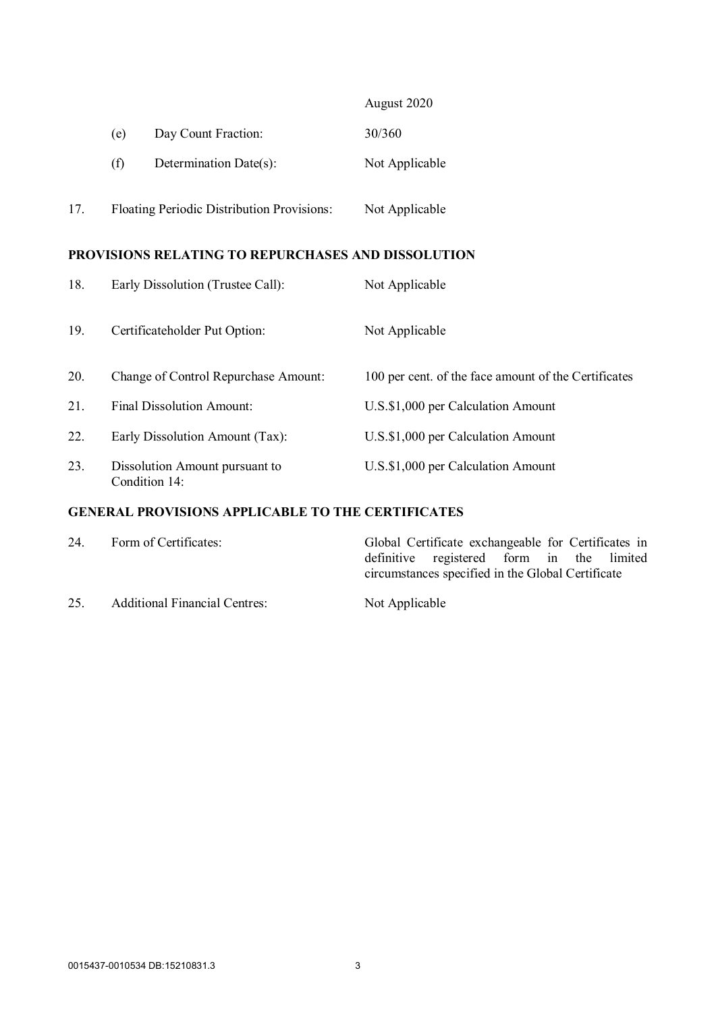|     |     |                                                   | August 2020    |
|-----|-----|---------------------------------------------------|----------------|
|     | (e) | Day Count Fraction:                               | 30/360         |
|     | (f) | Determination Date(s):                            | Not Applicable |
| 17. |     | <b>Floating Periodic Distribution Provisions:</b> | Not Applicable |

# **PROVISIONS RELATING TO REPURCHASES AND DISSOLUTION**

| 18. | Early Dissolution (Trustee Call):               | Not Applicable                                       |
|-----|-------------------------------------------------|------------------------------------------------------|
| 19. | Certificateholder Put Option:                   | Not Applicable                                       |
| 20. | Change of Control Repurchase Amount:            | 100 per cent. of the face amount of the Certificates |
| 21. | <b>Final Dissolution Amount:</b>                | U.S.\$1,000 per Calculation Amount                   |
| 22. | Early Dissolution Amount (Tax):                 | U.S.\$1,000 per Calculation Amount                   |
| 23. | Dissolution Amount pursuant to<br>Condition 14: | U.S.\$1,000 per Calculation Amount                   |

# **GENERAL PROVISIONS APPLICABLE TO THE CERTIFICATES**

| 24. | Form of Certificates:                | Global Certificate exchangeable for Certificates in |
|-----|--------------------------------------|-----------------------------------------------------|
|     |                                      | definitive registered form in the limited           |
|     |                                      | circumstances specified in the Global Certificate   |
| 25. | <b>Additional Financial Centres:</b> | Not Applicable                                      |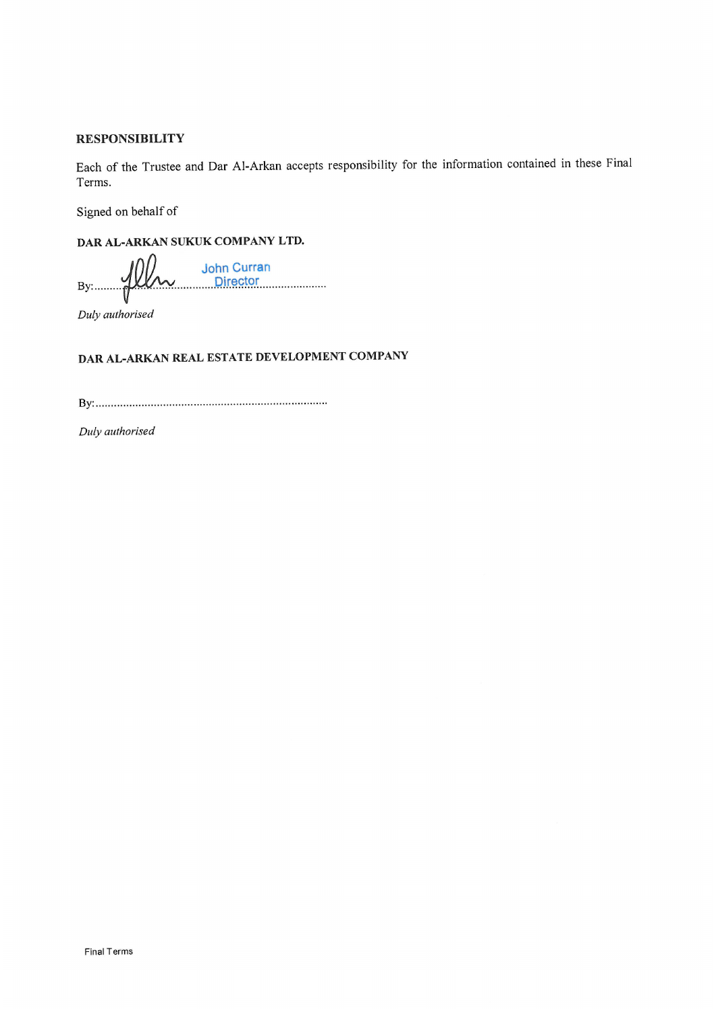## **RESPONSIBILITY**

Each of the Trustee and Dar Al-Arkan accepts responsibility for the information contained in these Final Terms.

Signed on behalf of

DAR AL-ARKAN SUKUK COMPANY LTD.

Um John Curran<br>Director  $By: \ldots \rightarrow \mathbb{R}$ 

Duly authorised

# DAR AL-ARKAN REAL ESTATE DEVELOPMENT COMPANY

Duly authorised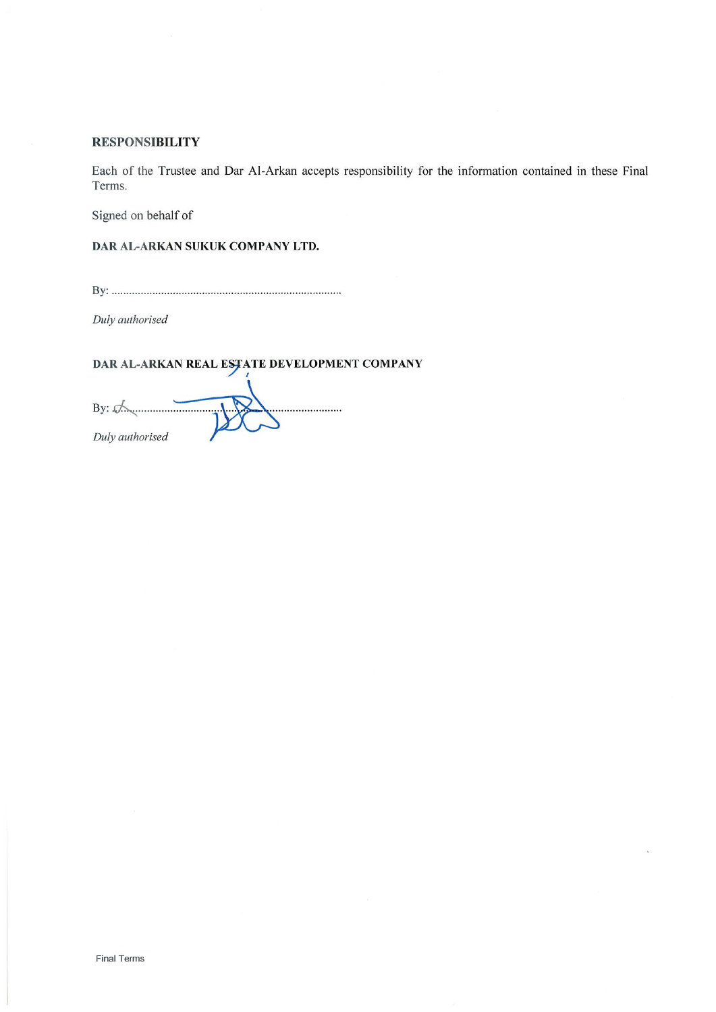## **RESPONSIBILITY**

Each of the Trustee and Dar Al-Arkan accepts responsibility for the information contained in these Final Terms.

Signed on behalf of

DAR AL-ARKAN SUKUK COMPANY LTD.

Duly authorised

DAR AL-ARKAN REAL ESTATE DEVELOPMENT COMPANY

By:  $\mathcal{A}$ .........<mark>..</mark>......... Duly authorised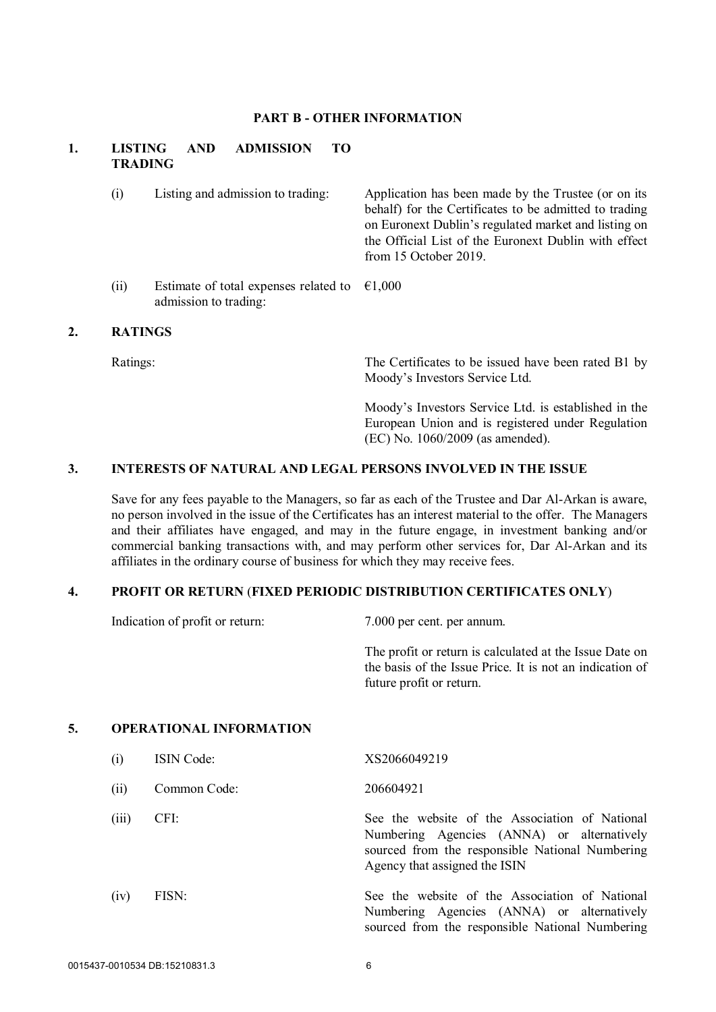### **PART B - OTHER INFORMATION**

# **1. LISTING AND ADMISSION TO TRADING**

admission to trading:

(i) Listing and admission to trading: Application has been made by the Trustee (or on its behalf) for the Certificates to be admitted to trading on Euronext Dublin's regulated market and listing on the Official List of the Euronext Dublin with effect from 15 October 2019. (ii) Estimate of total expenses related to  $\epsilon$ 1,000

### **2. RATINGS**

Ratings: The Certificates to be issued have been rated B1 by Moody's Investors Service Ltd.

> Moody's Investors Service Ltd. is established in the European Union and is registered under Regulation (EC) No. 1060/2009 (as amended).

## **3. INTERESTS OF NATURAL AND LEGAL PERSONS INVOLVED IN THE ISSUE**

Save for any fees payable to the Managers, so far as each of the Trustee and Dar Al-Arkan is aware, no person involved in the issue of the Certificates has an interest material to the offer. The Managers and their affiliates have engaged, and may in the future engage, in investment banking and/or commercial banking transactions with, and may perform other services for, Dar Al-Arkan and its affiliates in the ordinary course of business for which they may receive fees.

#### **4. PROFIT OR RETURN** (**FIXED PERIODIC DISTRIBUTION CERTIFICATES ONLY**)

Indication of profit or return: 7.000 per cent. per annum.

The profit or return is calculated at the Issue Date on the basis of the Issue Price. It is not an indication of future profit or return.

#### **5. OPERATIONAL INFORMATION**

| (i)   | <b>ISIN Code:</b> | XS2066049219                                                                                                                                                                     |
|-------|-------------------|----------------------------------------------------------------------------------------------------------------------------------------------------------------------------------|
| (ii)  | Common Code:      | 206604921                                                                                                                                                                        |
| (iii) | CFI:              | See the website of the Association of National<br>Numbering Agencies (ANNA) or alternatively<br>sourced from the responsible National Numbering<br>Agency that assigned the ISIN |
| (iv)  | FISN:             | See the website of the Association of National<br>Numbering Agencies (ANNA) or alternatively<br>sourced from the responsible National Numbering                                  |